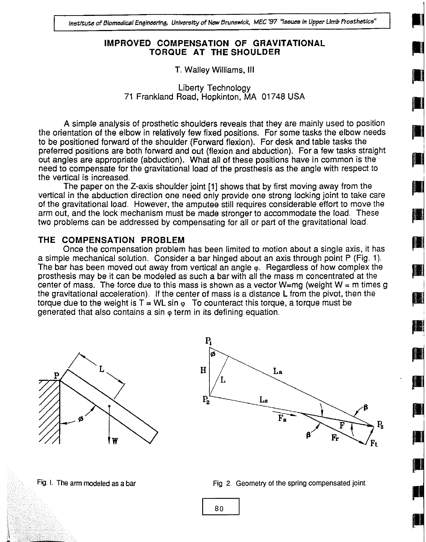# IMPROVED COMPENSATION OF GRAVITATIONAL TORQUE AT THE SHOULDER

# T. Walley Williams, III

Liberty Technology 71 Frankland Road, Hopkinton, MA 01748 USA

A simple analysis of prosthetic shoulders reveals that they are mainly used to position the orientation of the elbow in relatively few fixed positions.. For some tasks the elbow needs to be positioned forward of the shoulder (Forward flexion). For desk and table tasks the preferred positions are both forward and out (flexion and abduction). For a few tasks straight out angles are appropriate (abduction). What all of these positions have in common is the need to compensate for the gravitational load of the prosthesis as the angle with respect to the vertical is increased

The paper on the Z-axis shoulder joint [1] shows that by first moving away from the vertical in the abduction direction one need only provide one strong locking joint to take care of the gravitational load. However, the amputee still requires considerable effort to move the arm out, and the lock mechanism must be made stronger to accommodate the load. These two problems can be addressed by compensating for all or part of the gravitational load

# THE COMPENSATION PROBLEM

Once the compensation problem has been limited to motion about a single axis, it has a simple mechanical solution. Consider a bar hinged about an axis through point P (Fig.. 1) The bar has been moved out away from vertical an angle  $\phi$ . Regardless of how complex the **10** prosthesis may be it can be modeled as such a bar with all the mass m concentrated at the center of mass. The force due to this mass is shown as a vector W=mg (weight W = m times g the gravitational acceleration). If the center of mass is a distance L from the pivot, then the torque due to the weight is  $T = WL \sin \varphi$ . To counteract this torque, a torque must be generated that also contains a sin  $\omega$  term in its defining equation.

W



### Fig. I. The arm modeled as a bar  $\frac{Fig}{g}$ . Geometry of the spring compensated joint.

80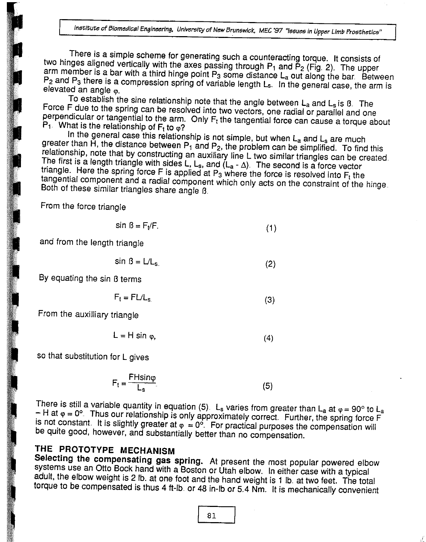There is a simple scheme for generating such a counteracting torque. It consists of<br>two hinges aligned vertically with the axes passing through  $P_1$  and  $P_2$  (Fig. 2). The upper<br>arm member is a bar with a third hinge po

Force F due to the spring can be resolved into two vectors, one radial or parallel and one<br>perpendicular or tangential to the arm. Only  $F_t$  the tangential force can cause a torque about<br> $P_1$ . What is the relationship of

greater than  $\overline{H}$ , the distance between  $P_1$  and  $P_2$ , the problem can be simplified. To find this relationship, note that by constructing an auxiliary line L two similar triangles can be created.<br>The first is a len

From the force triangle

$$
\sin \beta = F_t/F. \tag{1}
$$

and from the length triangle

$$
\sin \beta = L/L_{s} \tag{2}
$$

By equating the sin B terms

$$
F_t = FL/L_s \tag{3}
$$

From the auxilliary triangle

$$
L = H \sin \varphi, \tag{4}
$$

so that substitution for L gives

$$
F_t = \frac{FH \sin \varphi}{L_s} \tag{5}
$$

There is still a variable quantity in equation (5). L<sub>s</sub> varies from greater than L<sub>a</sub> at  $\varphi = 90^{\circ}$  to L<sub>a</sub> – H at  $\varphi = 0^{\circ}$ . Thus our relationship is only approximately correct. Further, the spring force F is not

THE PROTOTYPE MECHANISM<br>Selecting the compensating gas spring. At present the most popular powered elbow systems use an Otto Bock hand with a Boston or Utah elbow. In either case with a typical adult, the elbow weight is 2 lb. at one foot and the hand weight is 1 lb. at two feet. The total torque to be compensated is thus 4 f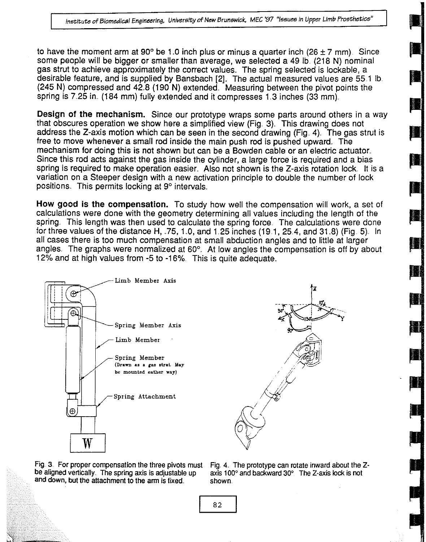to have the moment arm at 90 $^{\circ}$  be 1.0 inch plus or minus a quarter inch (26  $\pm$  7 mm). Since some people will be bigger or smaller than average, we selected a 49 lb (218 N) nominal gas strut to achieve approximately the correct values. The spring selected is lockable, a desirable feature, and is supplied by Bansbach [2]. The actual measured values are 55.1 lb  $(245 N)$  compressed and  $42.8$  (190 N) extended. Measuring between the pivot points the spring is 7.25 in. (184 mm) fully extended and it compresses 1.3 inches (33 mm).

Design of the mechanism. Since our prototype wraps some parts around others in a way that obscures operation we show here a simplified view (Fig. 3). This drawing does not address the Z-axis motion which can be seen in the second drawing (Fig.. 4). The gas strut is free to move whenever a small rod inside the main push rod is pushed upward. The mechanism for doing this is not shown but can be a Bowden cable or an electric actuator. Since this rod acts against the gas inside the cylinder, a large force is required and a bias spring is required to make operation easier. Also not shown is the Z-axis rotation lock, it is a variation on a Steeper design with a new activation principle to double the number of lock positions. This permits locking at  $9^\circ$  intervals.

How good is the compensation. To study how well the compensation will work, a set of calculations were done with the geometry determining all values including the length of the spring. This length was then used to calculate the spring force. The calculations were done for three values of the distance H, .75, 1.0, and 1.25 inches (19.1, 25.4, and 31.8) (Fig. 5). In all cases there is too much compensation at small abduction angles and to little at larger angles. The graphs were normalized at 60° At low angles the compensation is off by about 12% and at high values from -5 to -16% This is quite adequate.,



Fig. 3. For proper compensation the three pivots must Fig. 4. The prototype can rotate inward about the Z-<br>be aligned vertically. The spring axis is adjustable up axis 100° and backward 30°. The Z-axis lock is not and down, but the attachment to the arm is fixed shown.

axis 100 $^{\circ}$  and backward 30 $^{\circ}$  The Z-axis lock is not